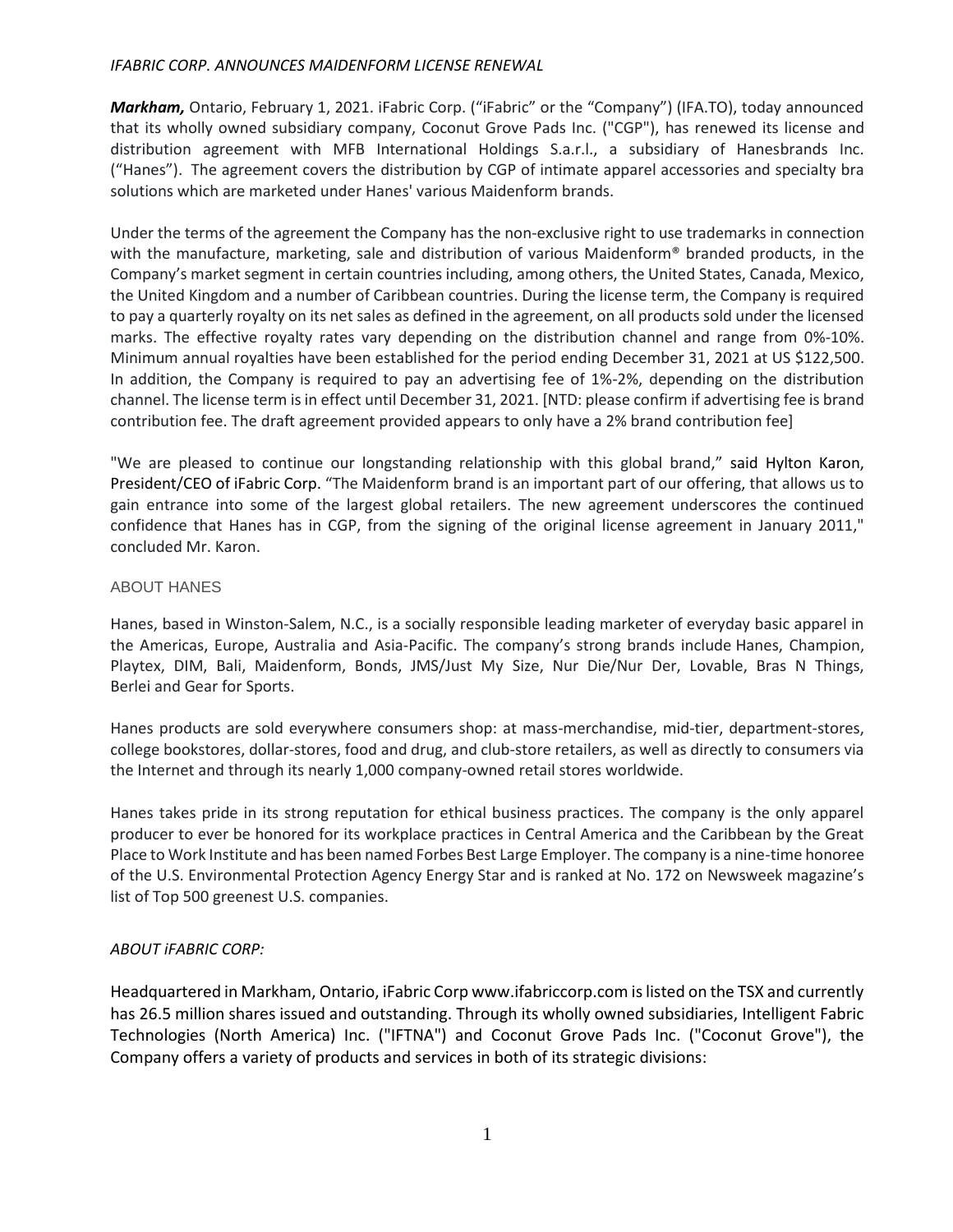## *IFABRIC CORP. ANNOUNCES MAIDENFORM LICENSE RENEWAL*

*Markham,* Ontario, February 1, 2021. iFabric Corp. ("iFabric" or the "Company") (IFA.TO), today announced that its wholly owned subsidiary company, Coconut Grove Pads Inc. ("CGP"), has renewed its license and distribution agreement with MFB International Holdings S.a.r.l., a subsidiary of Hanesbrands Inc. ("Hanes"). The agreement covers the distribution by CGP of intimate apparel accessories and specialty bra solutions which are marketed under Hanes' various Maidenform brands.

Under the terms of the agreement the Company has the non-exclusive right to use trademarks in connection with the manufacture, marketing, sale and distribution of various Maidenform® branded products, in the Company's market segment in certain countries including, among others, the United States, Canada, Mexico, the United Kingdom and a number of Caribbean countries. During the license term, the Company is required to pay a quarterly royalty on its net sales as defined in the agreement, on all products sold under the licensed marks. The effective royalty rates vary depending on the distribution channel and range from 0%-10%. Minimum annual royalties have been established for the period ending December 31, 2021 at US \$122,500. In addition, the Company is required to pay an advertising fee of 1%-2%, depending on the distribution channel. The license term is in effect until December 31, 2021. [NTD: please confirm if advertising fee is brand contribution fee. The draft agreement provided appears to only have a 2% brand contribution fee]

"We are pleased to continue our longstanding relationship with this global brand," said Hylton Karon, President/CEO of iFabric Corp. "The Maidenform brand is an important part of our offering, that allows us to gain entrance into some of the largest global retailers. The new agreement underscores the continued confidence that Hanes has in CGP, from the signing of the original license agreement in January 2011," concluded Mr. Karon.

## ABOUT HANES

Hanes, based in Winston-Salem, N.C., is a socially responsible leading marketer of everyday basic apparel in the Americas, Europe, Australia and Asia-Pacific. The company's strong brands include Hanes, Champion, Playtex, DIM, Bali, Maidenform, Bonds, JMS/Just My Size, Nur Die/Nur Der, Lovable, Bras N Things, Berlei and Gear for Sports.

Hanes products are sold everywhere consumers shop: at mass-merchandise, mid-tier, department-stores, college bookstores, dollar-stores, food and drug, and club-store retailers, as well as directly to consumers via the Internet and through its nearly 1,000 company-owned retail stores worldwide.

Hanes takes pride in its strong reputation for ethical business practices. The company is the only apparel producer to ever be honored for its workplace practices in Central America and the Caribbean by the Great Place to Work Institute and has been named Forbes Best Large Employer. The company is a nine-time honoree of the U.S. Environmental Protection Agency Energy Star and is ranked at No. 172 on Newsweek magazine's list of Top 500 greenest U.S. companies.

## *ABOUT iFABRIC CORP:*

Headquartered in Markham, Ontario, iFabric Corp www.ifabriccorp.com is listed on the TSX and currently has 26.5 million shares issued and outstanding. Through its wholly owned subsidiaries, Intelligent Fabric Technologies (North America) Inc. ("IFTNA") and Coconut Grove Pads Inc. ("Coconut Grove"), the Company offers a variety of products and services in both of its strategic divisions: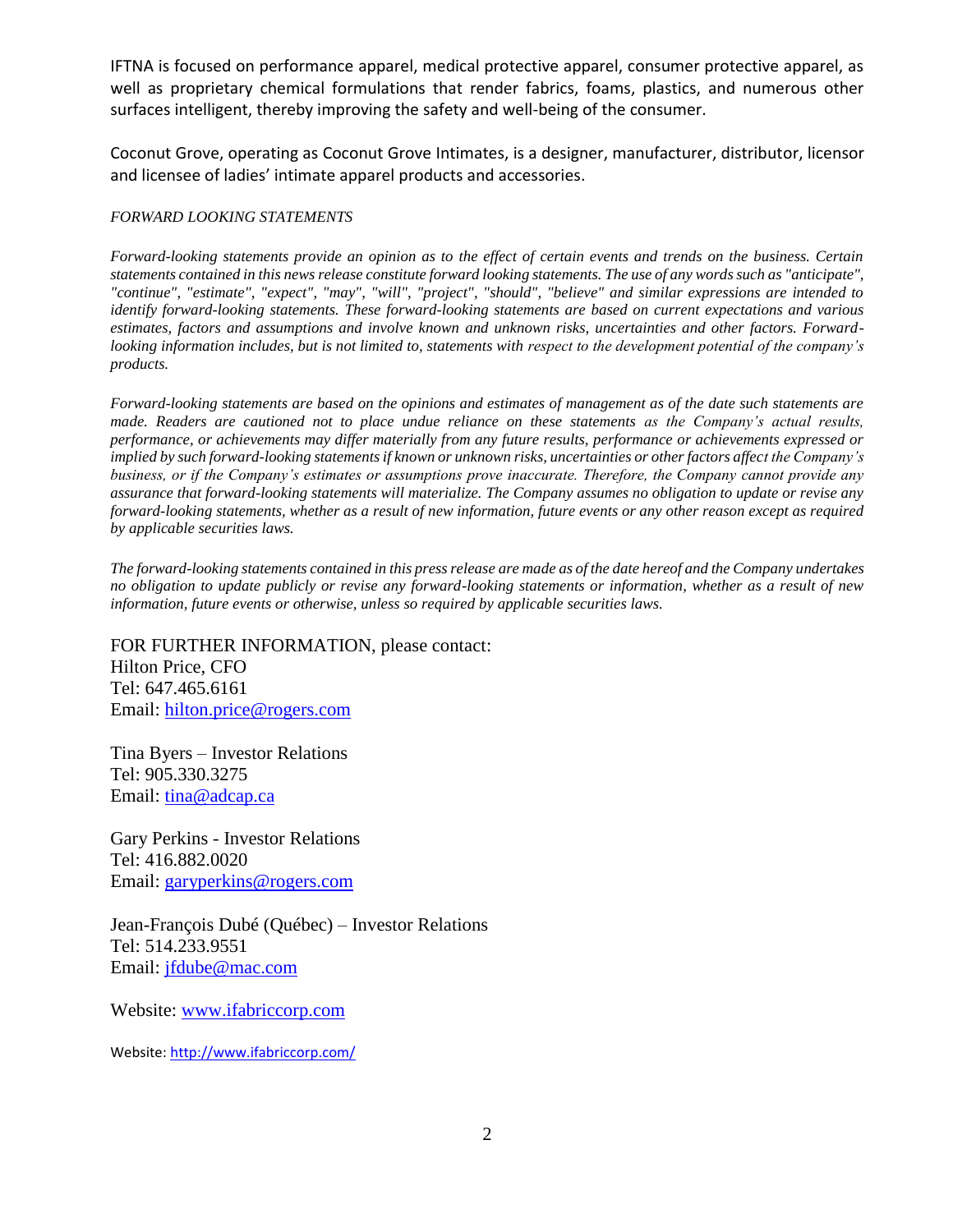IFTNA is focused on performance apparel, medical protective apparel, consumer protective apparel, as well as proprietary chemical formulations that render fabrics, foams, plastics, and numerous other surfaces intelligent, thereby improving the safety and well-being of the consumer.

Coconut Grove, operating as Coconut Grove Intimates, is a designer, manufacturer, distributor, licensor and licensee of ladies' intimate apparel products and accessories.

## *FORWARD LOOKING STATEMENTS*

*Forward-looking statements provide an opinion as to the effect of certain events and trends on the business. Certain statements contained in this news release constitute forward looking statements. The use of any words such as "anticipate", "continue", "estimate", "expect", "may", "will", "project", "should", "believe" and similar expressions are intended to identify forward-looking statements. These forward-looking statements are based on current expectations and various estimates, factors and assumptions and involve known and unknown risks, uncertainties and other factors. Forwardlooking information includes, but is not limited to, statements with respect to the development potential of the company's products.*

*Forward-looking statements are based on the opinions and estimates of management as of the date such statements are made. Readers are cautioned not to place undue reliance on these statements as the Company's actual results, performance, or achievements may differ materially from any future results, performance or achievements expressed or implied by such forward-looking statements if known or unknown risks, uncertainties or other factors affect the Company's business, or if the Company's estimates or assumptions prove inaccurate. Therefore, the Company cannot provide any assurance that forward-looking statements will materialize. The Company assumes no obligation to update or revise any forward-looking statements, whether as a result of new information, future events or any other reason except as required by applicable securities laws.*

*The forward-looking statements contained in this press release are made as of the date hereof and the Company undertakes no obligation to update publicly or revise any forward-looking statements or information, whether as a result of new information, future events or otherwise, unless so required by applicable securities laws.*

FOR FURTHER INFORMATION, please contact:

Hilton Price, CFO Tel: 647.465.6161 Email: [hilton.price@rogers.com](mailto:hilton.price@rogers.com)

Tina Byers – Investor Relations Tel: 905.330.3275 Email: [tina@adcap.ca](mailto:tina@adcap.ca)

Gary Perkins - Investor Relations Tel: 416.882.0020 Email: [garyperkins@rogers.com](mailto:garyperkins@rogers.com)

Jean-François Dubé (Québec) – Investor Relations Tel: 514.233.9551 Email: [jfdube@mac.com](mailto:jfdube@mac.com)

Website: [www.ifabriccorp.com](http://www.ifabriccorp.com/)

Website[: http://www.ifabriccorp.com/](http://www.ifabriccorp.com/)